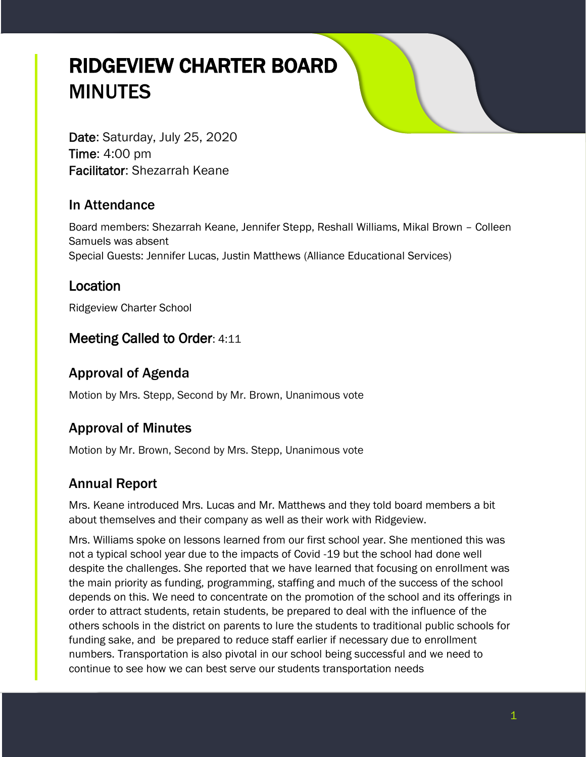# RIDGEVIEW CHARTER BOARD MINUTES

Date: Saturday, July 25, 2020 Time: 4:00 pm Facilitator: Shezarrah Keane

## In Attendance

Board members: Shezarrah Keane, Jennifer Stepp, Reshall Williams, Mikal Brown – Colleen Samuels was absent Special Guests: Jennifer Lucas, Justin Matthews (Alliance Educational Services)

## Location

Ridgeview Charter School

# Meeting Called to Order: 4:11

# Approval of Agenda

Motion by Mrs. Stepp, Second by Mr. Brown, Unanimous vote

# Approval of Minutes

Motion by Mr. Brown, Second by Mrs. Stepp, Unanimous vote

# Annual Report

Mrs. Keane introduced Mrs. Lucas and Mr. Matthews and they told board members a bit about themselves and their company as well as their work with Ridgeview.

Mrs. Williams spoke on lessons learned from our first school year. She mentioned this was not a typical school year due to the impacts of Covid -19 but the school had done well despite the challenges. She reported that we have learned that focusing on enrollment was the main priority as funding, programming, staffing and much of the success of the school depends on this. We need to concentrate on the promotion of the school and its offerings in order to attract students, retain students, be prepared to deal with the influence of the others schools in the district on parents to lure the students to traditional public schools for funding sake, and be prepared to reduce staff earlier if necessary due to enrollment numbers. Transportation is also pivotal in our school being successful and we need to continue to see how we can best serve our students transportation needs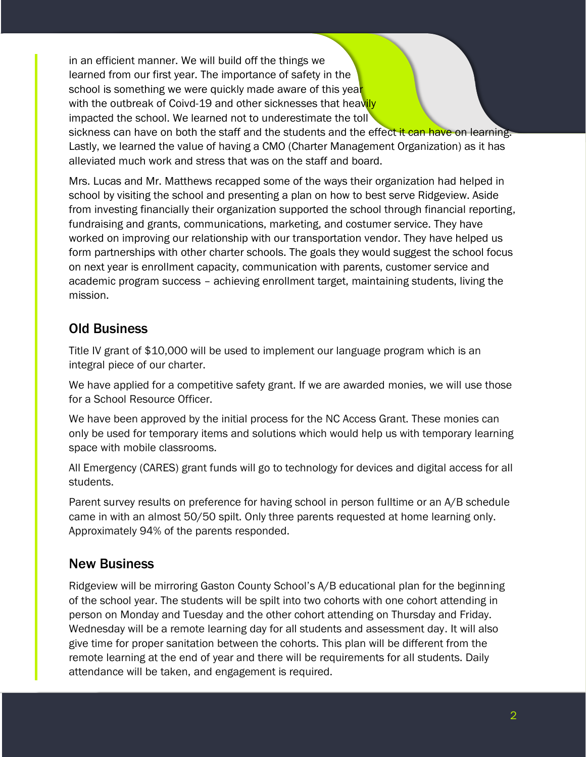in an efficient manner. We will build off the things we learned from our first year. The importance of safety in the school is something we were quickly made aware of this year with the outbreak of Coivd-19 and other sicknesses that heavily impacted the school. We learned not to underestimate the toll

sickness can have on both the staff and the students and the effect it can have on learning. Lastly, we learned the value of having a CMO (Charter Management Organization) as it has alleviated much work and stress that was on the staff and board.

Mrs. Lucas and Mr. Matthews recapped some of the ways their organization had helped in school by visiting the school and presenting a plan on how to best serve Ridgeview. Aside from investing financially their organization supported the school through financial reporting, fundraising and grants, communications, marketing, and costumer service. They have worked on improving our relationship with our transportation vendor. They have helped us form partnerships with other charter schools. The goals they would suggest the school focus on next year is enrollment capacity, communication with parents, customer service and academic program success – achieving enrollment target, maintaining students, living the mission.

## Old Business

Title IV grant of \$10,000 will be used to implement our language program which is an integral piece of our charter.

We have applied for a competitive safety grant. If we are awarded monies, we will use those for a School Resource Officer.

We have been approved by the initial process for the NC Access Grant. These monies can only be used for temporary items and solutions which would help us with temporary learning space with mobile classrooms.

All Emergency (CARES) grant funds will go to technology for devices and digital access for all students.

Parent survey results on preference for having school in person fulltime or an A/B schedule came in with an almost 50/50 spilt. Only three parents requested at home learning only. Approximately 94% of the parents responded.

# New Business

Ridgeview will be mirroring Gaston County School's A/B educational plan for the beginning of the school year. The students will be spilt into two cohorts with one cohort attending in person on Monday and Tuesday and the other cohort attending on Thursday and Friday. Wednesday will be a remote learning day for all students and assessment day. It will also give time for proper sanitation between the cohorts. This plan will be different from the remote learning at the end of year and there will be requirements for all students. Daily attendance will be taken, and engagement is required.